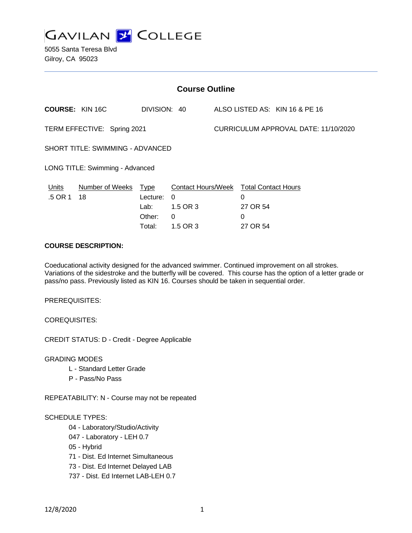

5055 Santa Teresa Blvd Gilroy, CA 95023

| <b>Course Outline</b>            |                            |                                      |                                                                                 |                                      |                                |                                |
|----------------------------------|----------------------------|--------------------------------------|---------------------------------------------------------------------------------|--------------------------------------|--------------------------------|--------------------------------|
| <b>COURSE: KIN 16C</b>           |                            | DIVISION: 40                         |                                                                                 |                                      |                                | ALSO LISTED AS: KIN 16 & PE 16 |
| TERM EFFECTIVE: Spring 2021      |                            |                                      |                                                                                 | CURRICULUM APPROVAL DATE: 11/10/2020 |                                |                                |
| SHORT TITLE: SWIMMING - ADVANCED |                            |                                      |                                                                                 |                                      |                                |                                |
| LONG TITLE: Swimming - Advanced  |                            |                                      |                                                                                 |                                      |                                |                                |
| Units<br>.5 OR 1                 | Number of Weeks Type<br>18 | Lecture:<br>Lab:<br>Other:<br>Total: | Contact Hours/Week Total Contact Hours<br>$\Omega$<br>1.5 OR 3<br>0<br>1.5 OR 3 |                                      | 0<br>27 OR 54<br>0<br>27 OR 54 |                                |

# **COURSE DESCRIPTION:**

Coeducational activity designed for the advanced swimmer. Continued improvement on all strokes. Variations of the sidestroke and the butterfly will be covered. This course has the option of a letter grade or pass/no pass. Previously listed as KIN 16. Courses should be taken in sequential order.

PREREQUISITES:

COREQUISITES:

CREDIT STATUS: D - Credit - Degree Applicable

GRADING MODES

- L Standard Letter Grade
- P Pass/No Pass

REPEATABILITY: N - Course may not be repeated

#### SCHEDULE TYPES:

- 04 Laboratory/Studio/Activity
- 047 Laboratory LEH 0.7
- 05 Hybrid
- 71 Dist. Ed Internet Simultaneous
- 73 Dist. Ed Internet Delayed LAB
- 737 Dist. Ed Internet LAB-LEH 0.7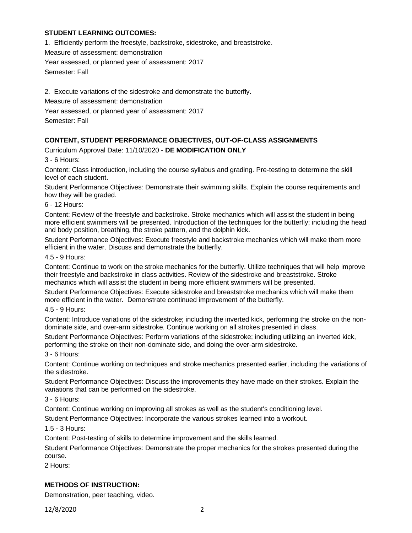## **STUDENT LEARNING OUTCOMES:**

1. Efficiently perform the freestyle, backstroke, sidestroke, and breaststroke.

Measure of assessment: demonstration

Year assessed, or planned year of assessment: 2017

Semester: Fall

2. Execute variations of the sidestroke and demonstrate the butterfly.

Measure of assessment: demonstration

Year assessed, or planned year of assessment: 2017

Semester: Fall

# **CONTENT, STUDENT PERFORMANCE OBJECTIVES, OUT-OF-CLASS ASSIGNMENTS**

Curriculum Approval Date: 11/10/2020 - **DE MODIFICATION ONLY**

3 - 6 Hours:

Content: Class introduction, including the course syllabus and grading. Pre-testing to determine the skill level of each student.

Student Performance Objectives: Demonstrate their swimming skills. Explain the course requirements and how they will be graded.

6 - 12 Hours:

Content: Review of the freestyle and backstroke. Stroke mechanics which will assist the student in being more efficient swimmers will be presented. Introduction of the techniques for the butterfly; including the head and body position, breathing, the stroke pattern, and the dolphin kick.

Student Performance Objectives: Execute freestyle and backstroke mechanics which will make them more efficient in the water. Discuss and demonstrate the butterfly.

4.5 - 9 Hours:

Content: Continue to work on the stroke mechanics for the butterfly. Utilize techniques that will help improve their freestyle and backstroke in class activities. Review of the sidestroke and breaststroke. Stroke mechanics which will assist the student in being more efficient swimmers will be presented.

Student Performance Objectives: Execute sidestroke and breaststroke mechanics which will make them more efficient in the water. Demonstrate continued improvement of the butterfly.

4.5 - 9 Hours:

Content: Introduce variations of the sidestroke; including the inverted kick, performing the stroke on the nondominate side, and over-arm sidestroke. Continue working on all strokes presented in class.

Student Performance Objectives: Perform variations of the sidestroke; including utilizing an inverted kick, performing the stroke on their non-dominate side, and doing the over-arm sidestroke.

3 - 6 Hours:

Content: Continue working on techniques and stroke mechanics presented earlier, including the variations of the sidestroke.

Student Performance Objectives: Discuss the improvements they have made on their strokes. Explain the variations that can be performed on the sidestroke.

3 - 6 Hours:

Content: Continue working on improving all strokes as well as the student's conditioning level.

Student Performance Objectives: Incorporate the various strokes learned into a workout.

1.5 - 3 Hours:

Content: Post-testing of skills to determine improvement and the skills learned.

Student Performance Objectives: Demonstrate the proper mechanics for the strokes presented during the course.

2 Hours:

### **METHODS OF INSTRUCTION:**

Demonstration, peer teaching, video.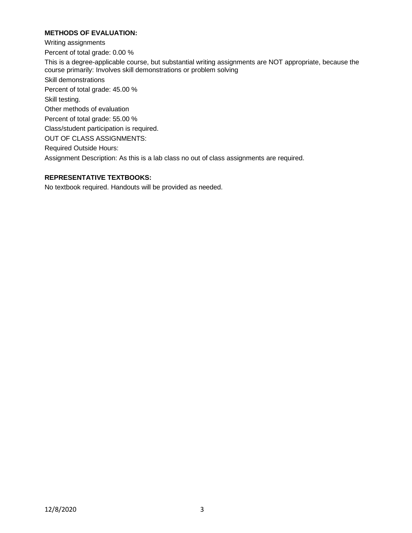# **METHODS OF EVALUATION:**

Writing assignments Percent of total grade: 0.00 % This is a degree-applicable course, but substantial writing assignments are NOT appropriate, because the course primarily: Involves skill demonstrations or problem solving Skill demonstrations Percent of total grade: 45.00 % Skill testing. Other methods of evaluation Percent of total grade: 55.00 % Class/student participation is required. OUT OF CLASS ASSIGNMENTS: Required Outside Hours: Assignment Description: As this is a lab class no out of class assignments are required.

### **REPRESENTATIVE TEXTBOOKS:**

No textbook required. Handouts will be provided as needed.